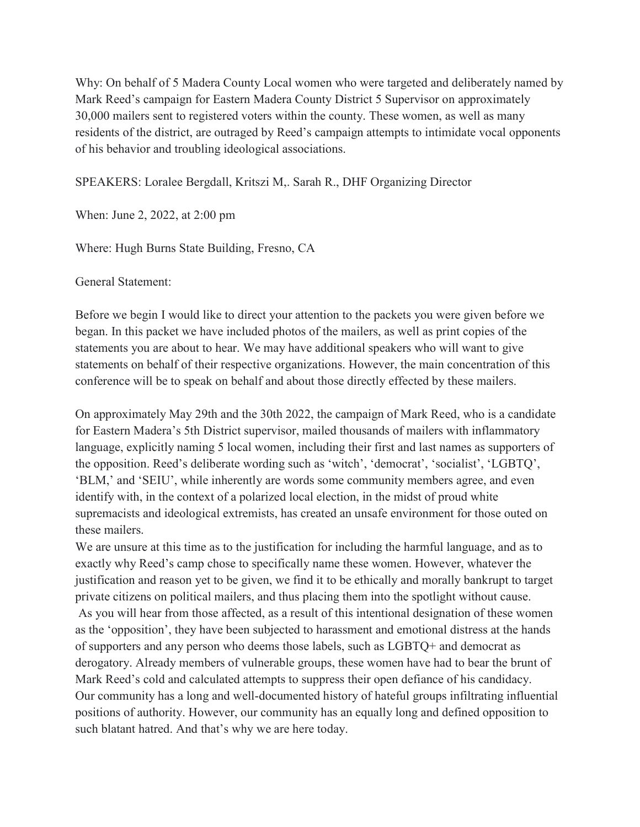Why: On behalf of 5 Madera County Local women who were targeted and deliberately named by Mark Reed's campaign for Eastern Madera County District 5 Supervisor on approximately 30,000 mailers sent to registered voters within the county. These women, as well as many residents of the district, are outraged by Reed's campaign attempts to intimidate vocal opponents of his behavior and troubling ideological associations.

## SPEAKERS: Loralee Bergdall, Kritszi M,. Sarah R., DHF Organizing Director

When: June 2, 2022, at 2:00 pm

Where: Hugh Burns State Building, Fresno, CA

General Statement:

Before we begin I would like to direct your attention to the packets you were given before we began. In this packet we have included photos of the mailers, as well as print copies of the statements you are about to hear. We may have additional speakers who will want to give statements on behalf of their respective organizations. However, the main concentration of this conference will be to speak on behalf and about those directly effected by these mailers.

On approximately May 29th and the 30th 2022, the campaign of Mark Reed, who is a candidate for Eastern Madera's 5th District supervisor, mailed thousands of mailers with inflammatory language, explicitly naming 5 local women, including their first and last names as supporters of the opposition. Reed's deliberate wording such as 'witch', 'democrat', 'socialist', 'LGBTQ', 'BLM,' and 'SEIU', while inherently are words some community members agree, and even identify with, in the context of a polarized local election, in the midst of proud white supremacists and ideological extremists, has created an unsafe environment for those outed on these mailers.

We are unsure at this time as to the justification for including the harmful language, and as to exactly why Reed's camp chose to specifically name these women. However, whatever the justification and reason yet to be given, we find it to be ethically and morally bankrupt to target private citizens on political mailers, and thus placing them into the spotlight without cause.

 As you will hear from those affected, as a result of this intentional designation of these women as the 'opposition', they have been subjected to harassment and emotional distress at the hands of supporters and any person who deems those labels, such as LGBTQ+ and democrat as derogatory. Already members of vulnerable groups, these women have had to bear the brunt of Mark Reed's cold and calculated attempts to suppress their open defiance of his candidacy. Our community has a long and well-documented history of hateful groups infiltrating influential positions of authority. However, our community has an equally long and defined opposition to such blatant hatred. And that's why we are here today.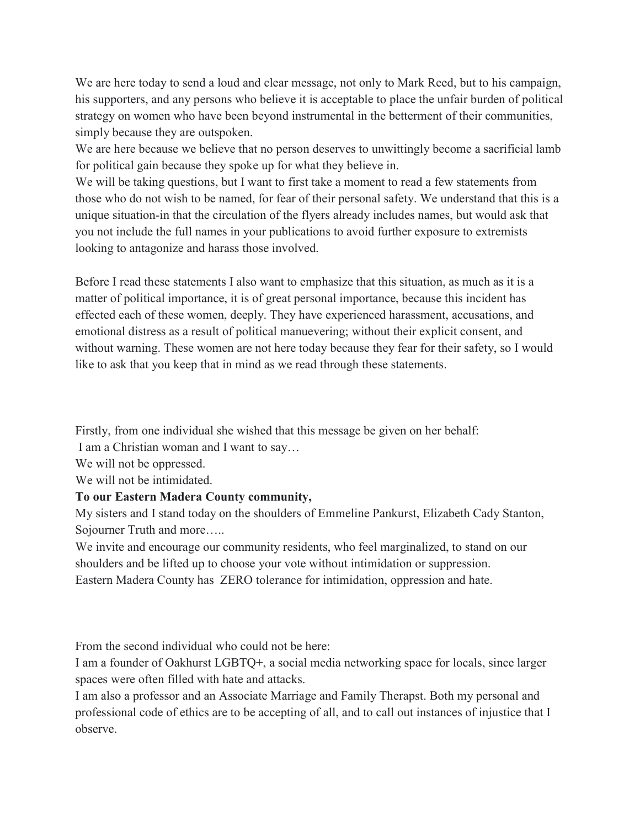We are here today to send a loud and clear message, not only to Mark Reed, but to his campaign, his supporters, and any persons who believe it is acceptable to place the unfair burden of political strategy on women who have been beyond instrumental in the betterment of their communities, simply because they are outspoken.

We are here because we believe that no person deserves to unwittingly become a sacrificial lamb for political gain because they spoke up for what they believe in.

We will be taking questions, but I want to first take a moment to read a few statements from those who do not wish to be named, for fear of their personal safety. We understand that this is a unique situation-in that the circulation of the flyers already includes names, but would ask that you not include the full names in your publications to avoid further exposure to extremists looking to antagonize and harass those involved.

Before I read these statements I also want to emphasize that this situation, as much as it is a matter of political importance, it is of great personal importance, because this incident has effected each of these women, deeply. They have experienced harassment, accusations, and emotional distress as a result of political manuevering; without their explicit consent, and without warning. These women are not here today because they fear for their safety, so I would like to ask that you keep that in mind as we read through these statements.

Firstly, from one individual she wished that this message be given on her behalf:

I am a Christian woman and I want to say…

We will not be oppressed.

We will not be intimidated.

## To our Eastern Madera County community,

My sisters and I stand today on the shoulders of Emmeline Pankurst, Elizabeth Cady Stanton, Sojourner Truth and more…..

We invite and encourage our community residents, who feel marginalized, to stand on our shoulders and be lifted up to choose your vote without intimidation or suppression.

Eastern Madera County has ZERO tolerance for intimidation, oppression and hate.

From the second individual who could not be here:

I am a founder of Oakhurst LGBTQ+, a social media networking space for locals, since larger spaces were often filled with hate and attacks.

I am also a professor and an Associate Marriage and Family Therapst. Both my personal and professional code of ethics are to be accepting of all, and to call out instances of injustice that I observe.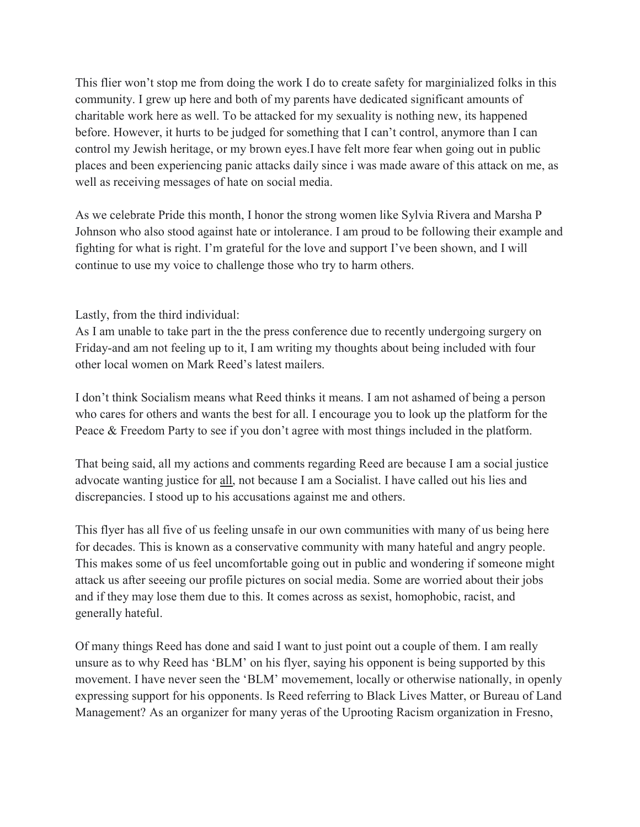This flier won't stop me from doing the work I do to create safety for marginialized folks in this community. I grew up here and both of my parents have dedicated significant amounts of charitable work here as well. To be attacked for my sexuality is nothing new, its happened before. However, it hurts to be judged for something that I can't control, anymore than I can control my Jewish heritage, or my brown eyes.I have felt more fear when going out in public places and been experiencing panic attacks daily since i was made aware of this attack on me, as well as receiving messages of hate on social media.

As we celebrate Pride this month, I honor the strong women like Sylvia Rivera and Marsha P Johnson who also stood against hate or intolerance. I am proud to be following their example and fighting for what is right. I'm grateful for the love and support I've been shown, and I will continue to use my voice to challenge those who try to harm others.

Lastly, from the third individual:

As I am unable to take part in the the press conference due to recently undergoing surgery on Friday-and am not feeling up to it, I am writing my thoughts about being included with four other local women on Mark Reed's latest mailers.

I don't think Socialism means what Reed thinks it means. I am not ashamed of being a person who cares for others and wants the best for all. I encourage you to look up the platform for the Peace & Freedom Party to see if you don't agree with most things included in the platform.

That being said, all my actions and comments regarding Reed are because I am a social justice advocate wanting justice for all, not because I am a Socialist. I have called out his lies and discrepancies. I stood up to his accusations against me and others.

This flyer has all five of us feeling unsafe in our own communities with many of us being here for decades. This is known as a conservative community with many hateful and angry people. This makes some of us feel uncomfortable going out in public and wondering if someone might attack us after seeeing our profile pictures on social media. Some are worried about their jobs and if they may lose them due to this. It comes across as sexist, homophobic, racist, and generally hateful.

Of many things Reed has done and said I want to just point out a couple of them. I am really unsure as to why Reed has 'BLM' on his flyer, saying his opponent is being supported by this movement. I have never seen the 'BLM' movemement, locally or otherwise nationally, in openly expressing support for his opponents. Is Reed referring to Black Lives Matter, or Bureau of Land Management? As an organizer for many yeras of the Uprooting Racism organization in Fresno,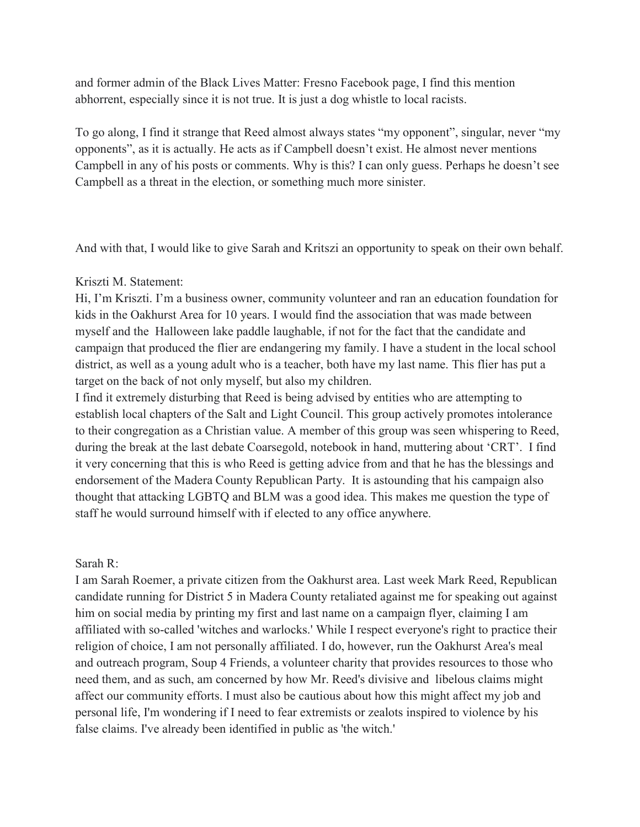and former admin of the Black Lives Matter: Fresno Facebook page, I find this mention abhorrent, especially since it is not true. It is just a dog whistle to local racists.

To go along, I find it strange that Reed almost always states "my opponent", singular, never "my opponents", as it is actually. He acts as if Campbell doesn't exist. He almost never mentions Campbell in any of his posts or comments. Why is this? I can only guess. Perhaps he doesn't see Campbell as a threat in the election, or something much more sinister.

And with that, I would like to give Sarah and Kritszi an opportunity to speak on their own behalf.

## Kriszti M. Statement:

Hi, I'm Kriszti. I'm a business owner, community volunteer and ran an education foundation for kids in the Oakhurst Area for 10 years. I would find the association that was made between myself and the Halloween lake paddle laughable, if not for the fact that the candidate and campaign that produced the flier are endangering my family. I have a student in the local school district, as well as a young adult who is a teacher, both have my last name. This flier has put a target on the back of not only myself, but also my children.

I find it extremely disturbing that Reed is being advised by entities who are attempting to establish local chapters of the Salt and Light Council. This group actively promotes intolerance to their congregation as a Christian value. A member of this group was seen whispering to Reed, during the break at the last debate Coarsegold, notebook in hand, muttering about 'CRT'. I find it very concerning that this is who Reed is getting advice from and that he has the blessings and endorsement of the Madera County Republican Party. It is astounding that his campaign also thought that attacking LGBTQ and BLM was a good idea. This makes me question the type of staff he would surround himself with if elected to any office anywhere.

## Sarah R:

I am Sarah Roemer, a private citizen from the Oakhurst area. Last week Mark Reed, Republican candidate running for District 5 in Madera County retaliated against me for speaking out against him on social media by printing my first and last name on a campaign flyer, claiming I am affiliated with so-called 'witches and warlocks.' While I respect everyone's right to practice their religion of choice, I am not personally affiliated. I do, however, run the Oakhurst Area's meal and outreach program, Soup 4 Friends, a volunteer charity that provides resources to those who need them, and as such, am concerned by how Mr. Reed's divisive and libelous claims might affect our community efforts. I must also be cautious about how this might affect my job and personal life, I'm wondering if I need to fear extremists or zealots inspired to violence by his false claims. I've already been identified in public as 'the witch.'